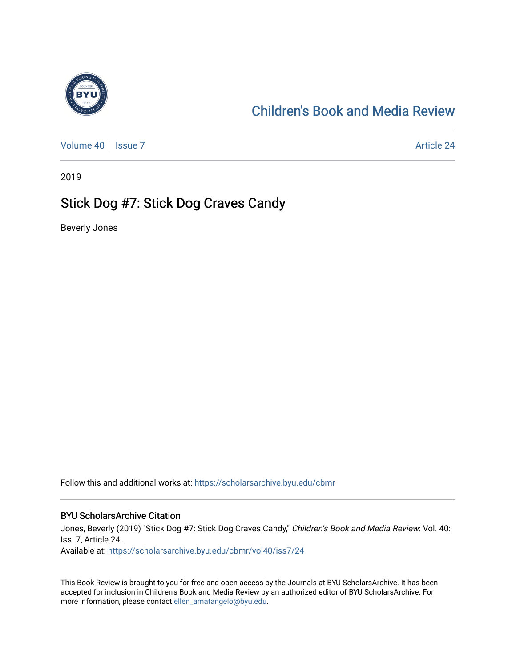

### [Children's Book and Media Review](https://scholarsarchive.byu.edu/cbmr)

[Volume 40](https://scholarsarchive.byu.edu/cbmr/vol40) | [Issue 7](https://scholarsarchive.byu.edu/cbmr/vol40/iss7) Article 24

2019

#### Stick Dog #7: Stick Dog Craves Candy

Beverly Jones

Follow this and additional works at: [https://scholarsarchive.byu.edu/cbmr](https://scholarsarchive.byu.edu/cbmr?utm_source=scholarsarchive.byu.edu%2Fcbmr%2Fvol40%2Fiss7%2F24&utm_medium=PDF&utm_campaign=PDFCoverPages) 

#### BYU ScholarsArchive Citation

Jones, Beverly (2019) "Stick Dog #7: Stick Dog Craves Candy," Children's Book and Media Review: Vol. 40: Iss. 7, Article 24. Available at: [https://scholarsarchive.byu.edu/cbmr/vol40/iss7/24](https://scholarsarchive.byu.edu/cbmr/vol40/iss7/24?utm_source=scholarsarchive.byu.edu%2Fcbmr%2Fvol40%2Fiss7%2F24&utm_medium=PDF&utm_campaign=PDFCoverPages)

This Book Review is brought to you for free and open access by the Journals at BYU ScholarsArchive. It has been accepted for inclusion in Children's Book and Media Review by an authorized editor of BYU ScholarsArchive. For more information, please contact [ellen\\_amatangelo@byu.edu.](mailto:ellen_amatangelo@byu.edu)